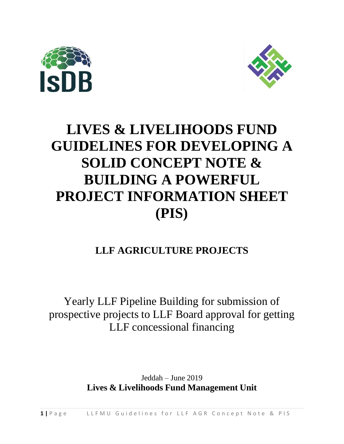



## **LIVES & LIVELIHOODS FUND GUIDELINES FOR DEVELOPING A SOLID CONCEPT NOTE & BUILDING A POWERFUL PROJECT INFORMATION SHEET (PIS)**

### **LLF AGRICULTURE PROJECTS**

### Yearly LLF Pipeline Building for submission of prospective projects to LLF Board approval for getting LLF concessional financing

Jeddah – June 2019 **Lives & Livelihoods Fund Management Unit**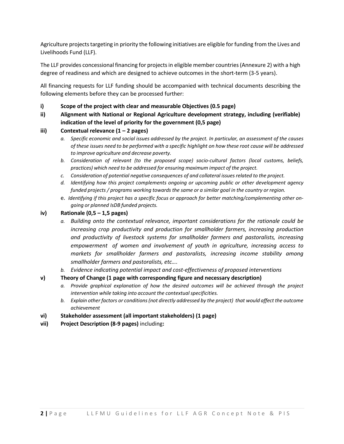Agriculture projects targeting in priority the following initiatives are eligible for funding from the Lives and Livelihoods Fund (LLF).

The LLF provides concessional financing for projectsin eligible member countries(Annexure 2) with a high degree of readiness and which are designed to achieve outcomes in the short-term (3-5 years).

All financing requests for LLF funding should be accompanied with technical documents describing the following elements before they can be processed further:

#### **i) Scope of the project with clear and measurable Objectives (0.5 page)**

#### **ii) Alignment with National or Regional Agriculture development strategy, including (verifiable) indication of the level of priority for the government (0,5 page)**

#### **iii) Contextual relevance (1 – 2 pages)**

- a. Specific economic and social issues addressed by the project. In particular, an assessment of the causes of these issues need to be performed with a specific highlight on how these root cause will be addressed *to improve agriculture and decrease poverty.*
- *b. Consideration of relevant (to the proposed scope) socio-cultural factors (local customs, beliefs, practices) which need to be addressed for ensuring maximum impact of the project.*
- *c. Consideration of potential negative consequences of and collateral issues related to the project.*
- *d. Identifying how this project complements ongoing or upcoming public or other development agency funded projects / programs working towards the same or a similar goal in the country or region.*
- e. *Identifying if this project has a specific focus or approach for better matching/complementing other ongoing or planned IsDB funded projects.*

#### **iv) Rationale (0,5 – 1,5 pages)**

- *a. Building onto the contextual relevance, important considerations for the rationale could be increasing crop productivity and production for smallholder farmers, increasing production and productivity of livestock systems for smallholder farmers and pastoralists, increasing empowerment of women and involvement of youth in agriculture, increasing access to markets for smallholder farmers and pastoralists, increasing income stability among smallholder farmers and pastoralists, etc….*
- *b. Evidence indicating potential impact and cost-effectiveness of proposed interventions*

#### **v) Theory of Change (1 page with corresponding figure and necessary description)**

- *a. Provide graphical explanation of how the desired outcomes will be achieved through the project intervention while taking into account the contextualspecificities.*
- *b. Explain other factors or conditions(not directly addressed by the project) that would affect the outcome achievement*

#### **vi) Stakeholder assessment (all important stakeholders) (1 page)**

**vii) Project Description (8-9 pages)** including**:**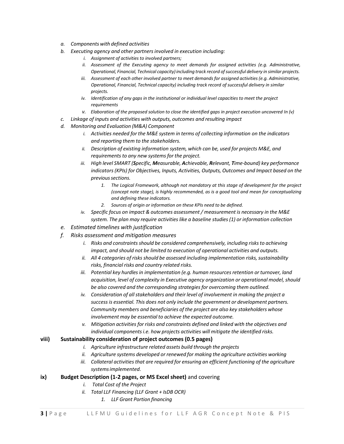- *a. Components with defined activities*
- *b. Executing agency and other partnersinvolved in execution including:*
	- *i. Assignment of activities to involved partners;*
	- *ii. Assessment of the Executing agency to meet demands for assigned activities (e.g. Administrative, Operational, Financial, Technical capacity)including track record ofsuccessful delivery in similar projects.*
	- *iii. Assessment of each other involved partner to meet demands for assigned activities (e.g. Administrative, Operational, Financial, Technical capacity) including track record of successful delivery in similar projects.*
	- *iv. Identification of any gaps in the institutional or individual level capacities to meet the project requirements*
	- *v. Elaboration of the proposed solution to close the identified gaps in project execution uncovered In (v)*
- *c. Linkage of inputs and activities with outputs, outcomes and resulting impact*
- *d. Monitoring and Evaluation (M&A) Component*
	- *i. Activities needed for the M&E system in terms of collecting information on the indicators and reporting them to the stakeholders.*
	- *ii. Description of existing information system, which can be, used for projects M&E, and requirements to any new systemsfor the project.*
	- *iii. High level SMART (Specific, Measurable, Achievable, Relevant, Time-bound) key performance indicators (KPIs) for Objectives, Inputs, Activities, Outputs, Outcomes and Impact based on the previoussections.*
		- *1. The Logical Framework, although not mandatory at this stage of development for the project (concept note stage), is highly recommended, as is a good tool and mean for conceptualizing and defining these indicators.*
		- *2. Sources of origin or information on these KPIs need to be defined.*
	- *iv. Specific focus on impact & outcomes assessment / measurement is necessary in the M&E system. The plan may require activities like a baseline studies(1) or information collection*
- *e. Estimated timelines with justification*
- *f. Risks assessment and mitigation measures*
	- *i.* Risks and constraints should be considered comprehensively, including risks to achieving *impact, and should not be limited to execution of operational activities and outputs.*
	- *ii.* All 4 categories of risks should be assessed including *implementation risks, sustainability risks, financial risks and country related risks.*
	- *iii.* Potential key hurdles in *implementation* (e.g. *human resources retention or turnover*, land  $a$ cquisition, level of *complexity* in *Executive* agency organization or operational model, should *be also covered and the corresponding strategiesfor overcoming them outlined.*
	- *iv. Consideration of allstakeholders and their level of involvement in making the project a successis essential. This does not only include the government or development partners. Community members and beneficiaries of the project are also key stakeholders whose involvement may be essential to achieve the expected outcome.*
	- *v. Mitigation activities for risks and constraints defined and linked with the objectives and individual componentsi.e. how projects activities will mitigate the identified risks.*

#### **viii) Sustainability consideration of project outcomes (0.5 pages)**

- *i. Agriculture infrastructure related assets build through the projects*
- *ii. Agriculture systems developed or renewed for making the agriculture activities working*
- *iii. Collateral activitiesthat are required for ensuring an efficient functioning of the agriculture systemsimplemented.*

#### **ix) Budget Description (1-2 pages, or MS Excel sheet)** and covering

- *i. Total Cost of the Project*
- *ii. Total LLF Financing (LLF Grant + IsDB OCR)*
	- *1. LLF Grant Portion financing*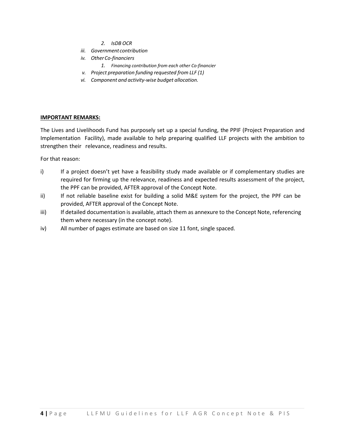- *2. IsDB OCR*
- *iii. Government contribution*
- *iv. OtherCo-financiers*
	- *1. Financing contribution from each other Co-financier*
- *v. Project preparation funding requested from LLF (1)*
- *vi. Component and activity-wise budget allocation.*

#### **IMPORTANT REMARKS:**

The Lives and Livelihoods Fund has purposely set up a special funding, the PPIF (Project Preparation and Implementation Facility), made available to help preparing qualified LLF projects with the ambition to strengthen their relevance, readiness and results.

For that reason:

- i) If a project doesn't yet have a feasibility study made available or if complementary studies are required for firming up the relevance, readiness and expected results assessment of the project, the PPF can be provided, AFTER approval of the Concept Note.
- ii) If not reliable baseline exist for building a solid M&E system for the project, the PPF can be provided, AFTER approval of the Concept Note.
- iii) If detailed documentation is available, attach them as annexure to the Concept Note, referencing them where necessary (in the concept note).
- iv) All number of pages estimate are based on size 11 font, single spaced.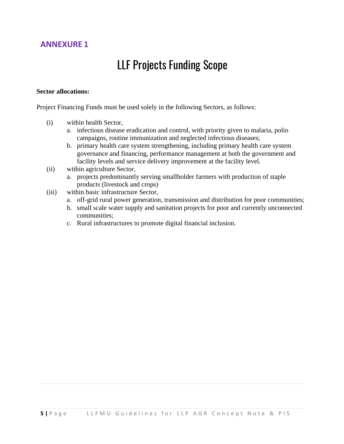### **ANNEXURE 1**

## LLF Projects Funding Scope

#### **Sector allocations:**

Project Financing Funds must be used solely in the following Sectors, as follows:

- (i) within health Sector,
	- a. infectious disease eradication and control, with priority given to malaria, polio campaigns, routine immunization and neglected infectious diseases;
	- b. primary health care system strengthening, including primary health care system governance and financing, performance management at both the government and facility levels and service delivery improvement at the facility level.
- (ii) within agriculture Sector,
	- a. projects predominantly serving smallholder farmers with production of staple products (livestock and crops)
- (iii) within basic infrastructure Sector,
	- a. off-grid rural power generation, transmission and distribution for poor communities;
	- b. small scale water supply and sanitation projects for poor and currently unconnected communities;
	- c. Rural infrastructures to promote digital financial inclusion.